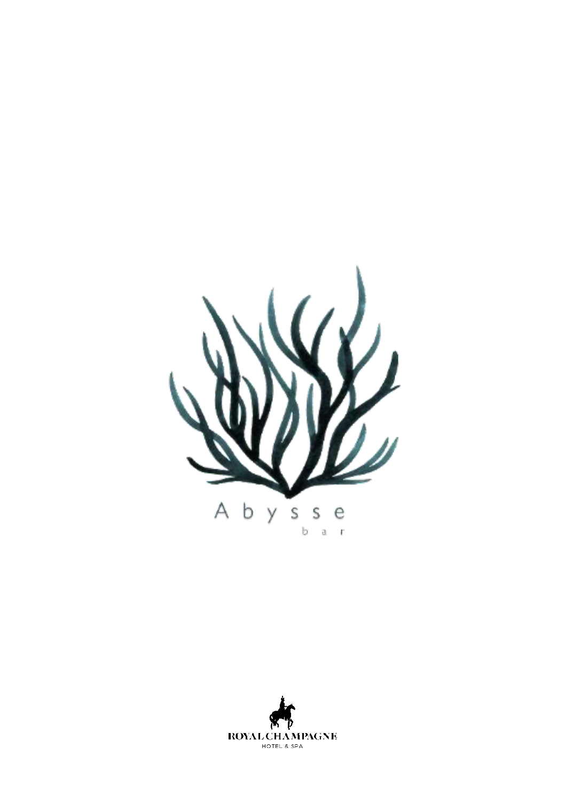

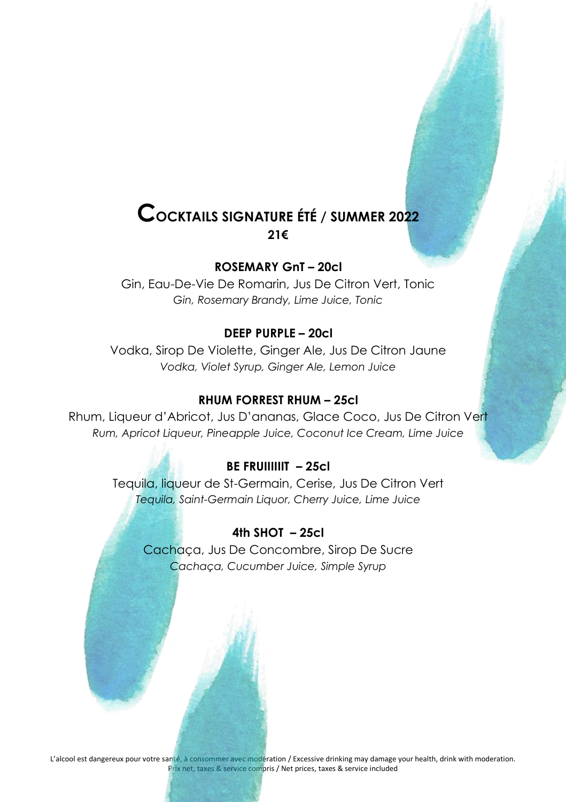### **COCKTAILS SIGNATURE ÉTÉ / SUMMER 2022 21€**

#### **ROSEMARY GnT – 20cl**

Gin, Eau-De-Vie De Romarin, Jus De Citron Vert, Tonic *Gin, Rosemary Brandy, Lime Juice, Tonic*

#### **DEEP PURPLE – 20cl**

Vodka, Sirop De Violette, Ginger Ale, Jus De Citron Jaune *Vodka, Violet Syrup, Ginger Ale, Lemon Juice*

#### **RHUM FORREST RHUM – 25cl**

Rhum, Liqueur d'Abricot, Jus D'ananas, Glace Coco, Jus De Citron Vert *Rum, Apricot Liqueur, Pineapple Juice, Coconut Ice Cream, Lime Juice*

#### **BE FRUIIIIIIT – 25cl**

Tequila, liqueur de St-Germain, Cerise, Jus De Citron Vert *Tequila, Saint-Germain Liquor, Cherry Juice, Lime Juice*

#### **4th SHOT – 25cl**

Cachaça, Jus De Concombre, Sirop De Sucre *Cachaça, Cucumber Juice, Simple Syrup*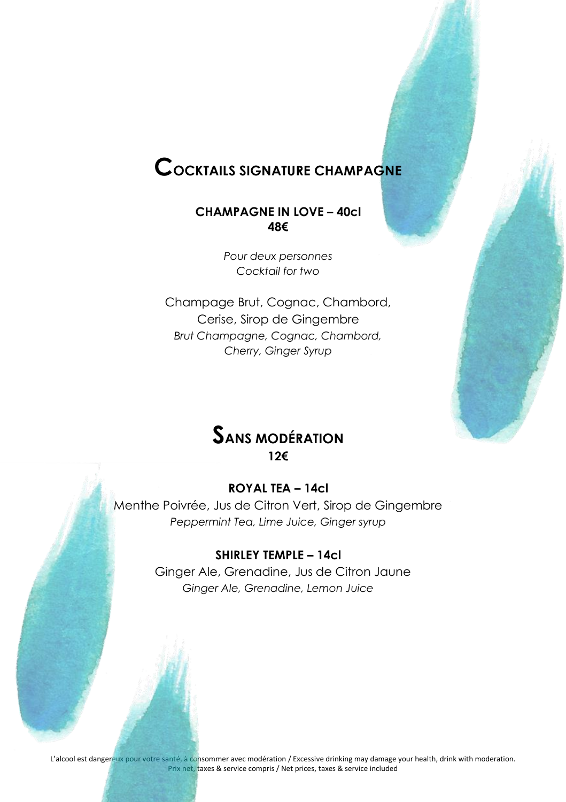## **COCKTAILS SIGNATURE CHAMPAGNE**

#### **CHAMPAGNE IN LOVE – 40cl 48€**

*Pour deux personnes Cocktail for two*

Champage Brut, Cognac, Chambord, Cerise, Sirop de Gingembre *Brut Champagne, Cognac, Chambord, Cherry, Ginger Syrup*



#### **ROYAL TEA – 14cl**

Menthe Poivrée, Jus de Citron Vert, Sirop de Gingembre *Peppermint Tea, Lime Juice, Ginger syrup*

#### **SHIRLEY TEMPLE – 14cl**

Ginger Ale, Grenadine, Jus de Citron Jaune *Ginger Ale, Grenadine, Lemon Juice*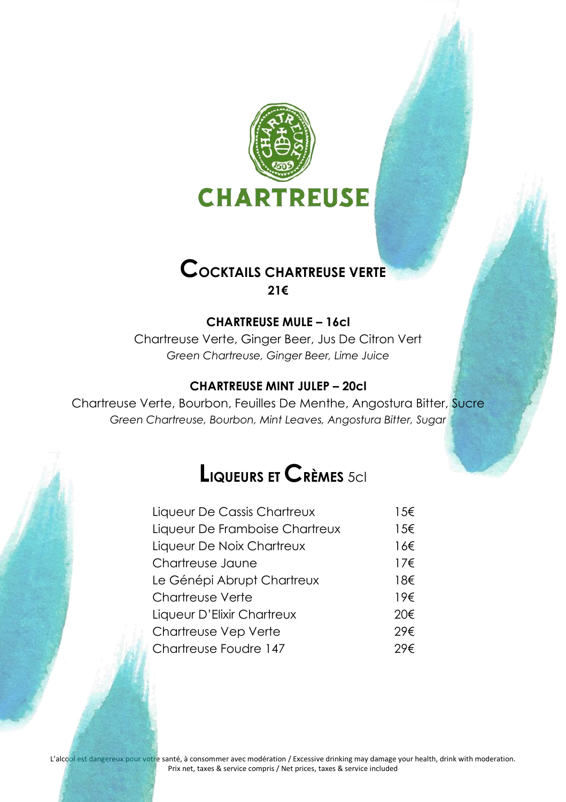

### **COCKTAILS CHARTREUSE VERTE 21€**

#### **CHARTREUSE MULE – 16cl**

Chartreuse Verte, Ginger Beer, Jus De Citron Vert *Green Chartreuse, Ginger Beer, Lime Juice*

#### **CHARTREUSE MINT JULEP – 20cl**

Chartreuse Verte, Bourbon, Feuilles De Menthe, Angostura Bitter, Sucre *Green Chartreuse, Bourbon, Mint Leaves, Angostura Bitter, Sugar*

## **LIQUEURS ET CRÈMES** 5cl

| Liqueur De Cassis Chartreux    | 15€ |
|--------------------------------|-----|
| Liqueur De Framboise Chartreux | 15€ |
| Liqueur De Noix Chartreux      | 16€ |
| Chartreuse Jaune               | 17€ |
| Le Génépi Abrupt Chartreux     | 18€ |
| Chartreuse Verte               | 19€ |
| Liqueur D'Elixir Chartreux     | 20€ |
| Chartreuse Vep Verte           | 29€ |
| Chartreuse Foudre 147          | 29€ |
|                                |     |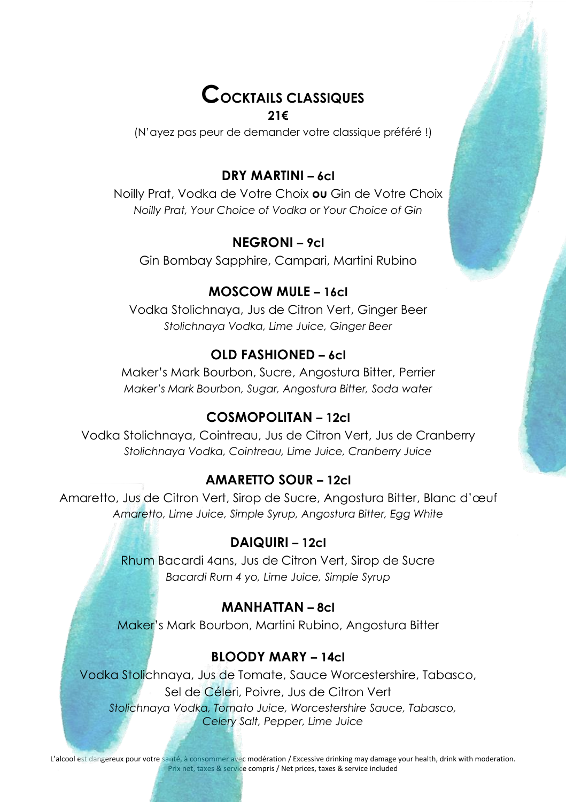# **COCKTAILS CLASSIQUES**

#### **21€**

(N'ayez pas peur de demander votre classique préféré !)

### **DRY MARTINI – 6cl**

Noilly Prat, Vodka de Votre Choix **ou** Gin de Votre Choix *Noilly Prat, Your Choice of Vodka or Your Choice of Gin*

### **NEGRONI – 9cl**

Gin Bombay Sapphire, Campari, Martini Rubino

### **MOSCOW MULE – 16cl**

Vodka Stolichnaya, Jus de Citron Vert, Ginger Beer *Stolichnaya Vodka, Lime Juice, Ginger Beer*

### **OLD FASHIONED – 6cl**

Maker's Mark Bourbon, Sucre, Angostura Bitter, Perrier *Maker's Mark Bourbon, Sugar, Angostura Bitter, Soda water*

### **COSMOPOLITAN – 12cl**

Vodka Stolichnaya, Cointreau, Jus de Citron Vert, Jus de Cranberry *Stolichnaya Vodka, Cointreau, Lime Juice, Cranberry Juice*

### **AMARETTO SOUR – 12cl**

Amaretto, Jus de Citron Vert, Sirop de Sucre, Angostura Bitter, Blanc d'œuf *Amaretto, Lime Juice, Simple Syrup, Angostura Bitter, Egg White*

#### **DAIQUIRI – 12cl**

Rhum Bacardi 4ans, Jus de Citron Vert, Sirop de Sucre *Bacardi Rum 4 yo, Lime Juice, Simple Syrup*

### **MANHATTAN – 8cl**

Maker's Mark Bourbon, Martini Rubino, Angostura Bitter

### **BLOODY MARY – 14cl**

Vodka Stolichnaya, Jus de Tomate, Sauce Worcestershire, Tabasco, Sel de Céleri, Poivre, Jus de Citron Vert *Stolichnaya Vodka, Tomato Juice, Worcestershire Sauce, Tabasco, Celery Salt, Pepper, Lime Juice*

L'alcool est dangereux pour votre santé, à consommer avec modération / Excessive drinking may damage your health, drink with moderation. Prix net, taxes & service compris / Net prices, taxes & service included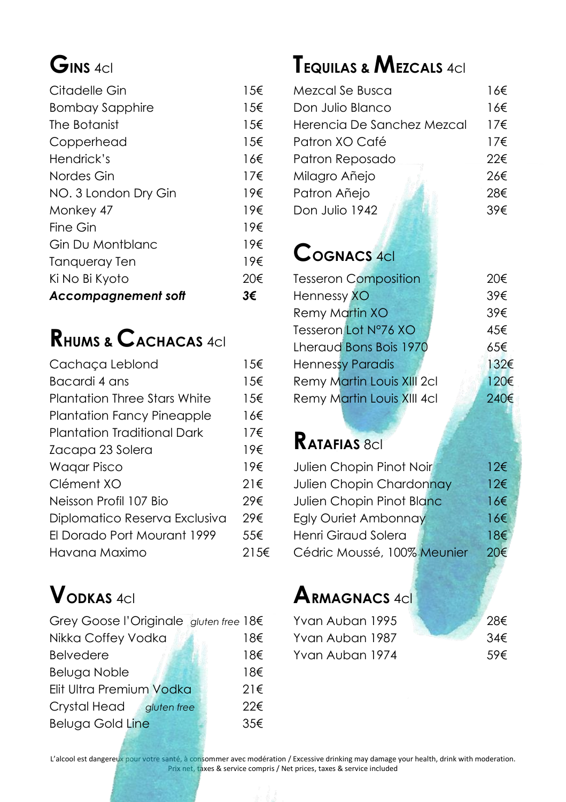# **GINS** 4cl

| Citadelle Gin              | $1.5 \in$    |
|----------------------------|--------------|
| <b>Bombay Sapphire</b>     | 15€          |
| The Botanist               | 1.5€         |
| Copperhead                 | 1.5€         |
| Hendrick's                 | 16€          |
| Nordes Gin                 | $17\epsilon$ |
| NO. 3 London Dry Gin       | 19€          |
| Monkey 47                  | 19€          |
| Fine Gin                   | 19€          |
| Gin Du Montblanc           | 19€          |
| Tangueray Ten              | 19€          |
| Ki No Bi Kyoto             | 20€          |
| <b>Accompagnement soft</b> | 3€           |

# **RHUMS & CACHACAS** 4cl

| Cachaça Leblond               | 15€          |
|-------------------------------|--------------|
| Bacardi 4 ans                 | 15€          |
| Plantation Three Stars White  | 1.5€         |
| Plantation Fancy Pineapple    | 16€          |
| Plantation Traditional Dark   | $17\epsilon$ |
| Zacapa 23 Solera              | 19€          |
| <b>Wagar Pisco</b>            | 19€          |
| Clément XO                    | $21 \in$     |
| Neisson Profil 107 Bio        | 29€          |
| Diplomatico Reserva Exclusiva | 29€          |
| El Dorado Port Mourant 1999   | 55€          |
| Havana Maximo                 | 21.5€        |

# **VODKAS** 4cl

| Grey Goose l'Originale gluten free 18€ |          |
|----------------------------------------|----------|
| Nikka Coffey Vodka                     | 18€      |
| <b>Belvedere</b>                       | 18€      |
| <b>Beluga Noble</b>                    | 18€      |
| Elit Ultra Premium Vodka               | $21 \in$ |
| Crystal Head<br>gluten free            | 22€      |
| <b>Beluga Gold Line</b>                | 35€      |

# **TEQUILAS & MEZCALS** 4cl

| Mezcal Se Busca            | 16€          |
|----------------------------|--------------|
| Don Julio Blanco           | 16€          |
| Herencia De Sanchez Mezcal | 17f          |
| Patron XO Café             | $17\epsilon$ |
| Patron Reposado            | 22€          |
| Milagro Añejo              | 26€          |
| Patron Añejo               | 28€          |
| Don Julio 1942             | 39€          |
|                            |              |

## **COGNACS** 4cl

| <b>Tesseron Composition</b> | 20€  |
|-----------------------------|------|
| Hennessy XO                 | 39€  |
| <b>Remy Martin XO</b>       | 39€  |
| Tesseron Lot N°76 XO        | 45€  |
| Lheraud Bons Bois 1970      | 65€  |
| <b>Hennessy Paradis</b>     | 132€ |
| Remy Martin Louis XIII 2cl  | 120€ |
| Remy Martin Louis XIII 4cl  | 240€ |
|                             |      |

# **RATAFIAS** 8cl

| Julien Chopin Pinot Noir    | $12\epsilon$ |
|-----------------------------|--------------|
| Julien Chopin Chardonnay    | 12€          |
| Julien Chopin Pinot Blanc   | 16€          |
| <b>Egly Ouriet Ambonnay</b> | 166          |
| Henri Giraud Solera         | 18€          |
| Cédric Moussé, 100% Meunier | 20€          |

# **ARMAGNACS** 4cl

| Yvan Auban 1995 | 28€ |
|-----------------|-----|
| Yvan Auban 1987 | 34€ |
| Yvan Auban 1974 | 59€ |

L'alcool est dangereux pour votre santé, à consommer avec modération / Excessive drinking may damage your health, drink with moderation. Prix net, taxes & service compris / Net prices, taxes & service included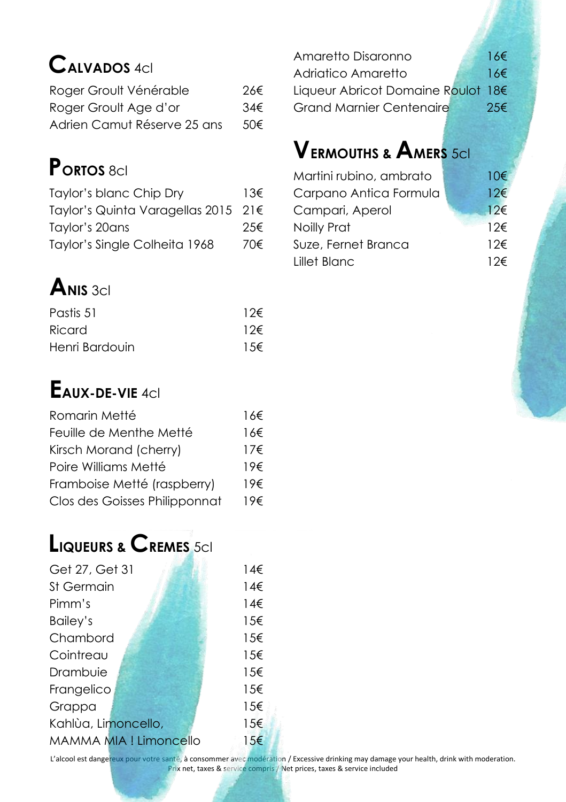# **CALVADOS** 4cl

| Roger Groult Vénérable      | 26€ |
|-----------------------------|-----|
| Roger Groult Age d'or       | 34€ |
| Adrien Camut Réserve 25 ans | 50€ |

# **PORTOS** 8cl

| Taylor's blanc Chip Dry             | $13 \epsilon$ |
|-------------------------------------|---------------|
| Taylor's Quinta Varagellas 2015 21€ |               |
| Taylor's 20ans                      | 25€           |
| Taylor's Single Colheita 1968       | 70€           |

# $A_{NIS, 3c}$

| Pastis 51      | $12\epsilon$ |
|----------------|--------------|
| Ricard         | 12€          |
| Henri Bardouin | $1.5 \in$    |

## **EAUX-DE-VIE** 4cl

| Romarin Metté                 | 16€          |
|-------------------------------|--------------|
| Feuille de Menthe Metté       | 16€          |
| Kirsch Morand (cherry)        | $17\epsilon$ |
| Poire Williams Metté          | 19€          |
| Framboise Metté (raspberry)   | 19€          |
| Clos des Goisses Philipponnat | 19€          |

# **LIQUEURS & CREMES** 5cl

| Get 27, Get 31                | $14 \epsilon$ |
|-------------------------------|---------------|
| St Germain                    | 14€           |
| Pimm's                        | 14€           |
| Bailey's                      | 15€           |
| Chambord                      | 15€           |
| Cointreau                     | 15€           |
| Drambuie                      | 15€           |
| Frangelico                    | 15€           |
| Grappa                        | 15€           |
| Kahlùa, Limoncello,           | 15€           |
| <b>MAMMA MIA ! Limoncello</b> | $15\epsilon$  |
|                               |               |

Amaretto Disaronno 16€ Adriatico Amaretto 16€ Liqueur Abricot Domaine Roulot 18€ Grand Marnier Centenaire 25€

# **VERMOUTHS & AMERS** 5cl

| Martini rubino, ambrato | 10 <sup>2</sup> |
|-------------------------|-----------------|
| Carpano Antica Formula  | $12 \in$        |
| Campari, Aperol         | $12 \epsilon$   |
| Noilly Prat             | $12 \epsilon$   |
| Suze, Fernet Branca     | $12 \epsilon$   |
| Lillet Blanc            | $12 \epsilon$   |

L'alcool est dangereux pour votre santé, à consommer avec modération / Excessive drinking may damage your health, drink with moderation. Prix net, taxes & service compris / Net prices, taxes & service included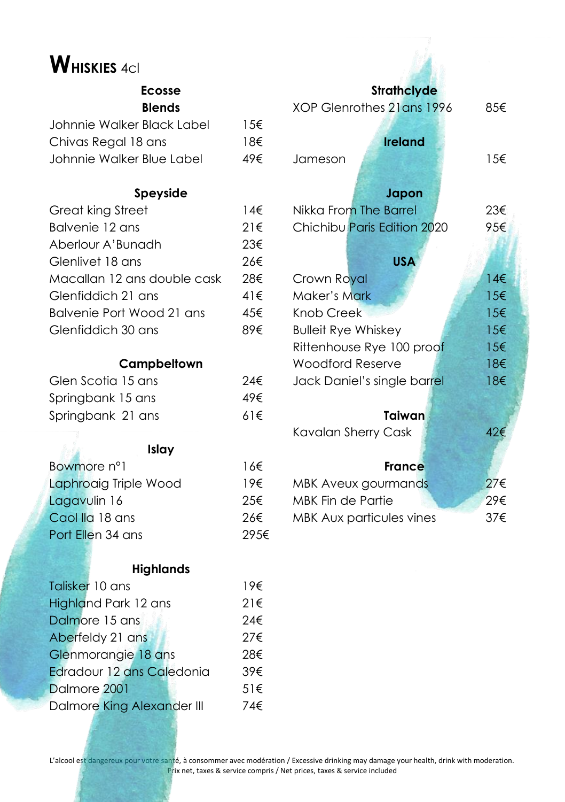# **WHISKIES** 4cl

#### **Ecosse Blends**

| 156 |
|-----|
| 18€ |
| 49€ |
|     |

### **Speyside**

| Great king Street           | 14€      |
|-----------------------------|----------|
| Balvenie 12 ans             | $21 \in$ |
| Aberlour A'Bunadh           | 23€      |
| Glenlivet 18 ans            | 26€      |
| Macallan 12 ans double cask | 28€      |
| Glenfiddich 21 ans          | 41€      |
| Balvenie Port Wood 21 ans   | 45€      |
| Glenfiddich 30 ans          |          |

### **Campbeltown**

| Glen Scotia 15 ans | 24€      |
|--------------------|----------|
| Springbank 15 ans  | 49€      |
| Springbank 21 ans  | $61 \in$ |

#### **Islay**

Arla

| Bowmore n°1           | 16€  |
|-----------------------|------|
| Laphroaig Triple Wood | 19€  |
| Lagavulin 16          | 25€  |
| Caol Ila 18 ans       | 26€  |
| Port Ellen 34 ans     | 295€ |

#### **Highlands**

| Talisker 10 ans            | 19€      |
|----------------------------|----------|
| Highland Park 12 ans       | $21 \in$ |
| Dalmore 15 ans             | 24€      |
| Aberfeldy 21 ans           | 27€      |
| Glenmorangie 18 ans        | 28€      |
| Edradour 12 ans Caledonia  | 39€      |
| Dalmore 2001               | $51 \in$ |
| Dalmore King Alexander III | 74€      |
|                            |          |

| <b>Strathclyde</b>          |                                |  |  |
|-----------------------------|--------------------------------|--|--|
| XOP Glenrothes 21 ans 1996  | 85€                            |  |  |
|                             |                                |  |  |
| <b>Ireland</b>              |                                |  |  |
| Jameson                     | 15€                            |  |  |
|                             |                                |  |  |
| Japon                       |                                |  |  |
| Nikka From The Barrel       | 23€                            |  |  |
| Chichibu Paris Edition 2020 | 95€                            |  |  |
|                             |                                |  |  |
| <b>USA</b>                  |                                |  |  |
| Crown Royal                 | 14€                            |  |  |
| Maker's Mark                | 15€                            |  |  |
| Knob Creek                  | 15 <epsilon< td=""></epsilon<> |  |  |
| <b>Bulleit Rye Whiskey</b>  | $15 \epsilon$                  |  |  |
| Rittenhouse Rye 100 proof   | 15€                            |  |  |
| Woodford Reserve            | 18€                            |  |  |
| Jack Daniel's single barrel | 18€                            |  |  |
|                             |                                |  |  |
| Taiwan                      |                                |  |  |
| Kavalan Sherry Cask         | 42€                            |  |  |
|                             |                                |  |  |
| France                      |                                |  |  |
| MBK Aveux gourmands         | 27€                            |  |  |
| <b>MBK Fin de Partie</b>    | 29€                            |  |  |
| MBK Aux particules vines    | 37€                            |  |  |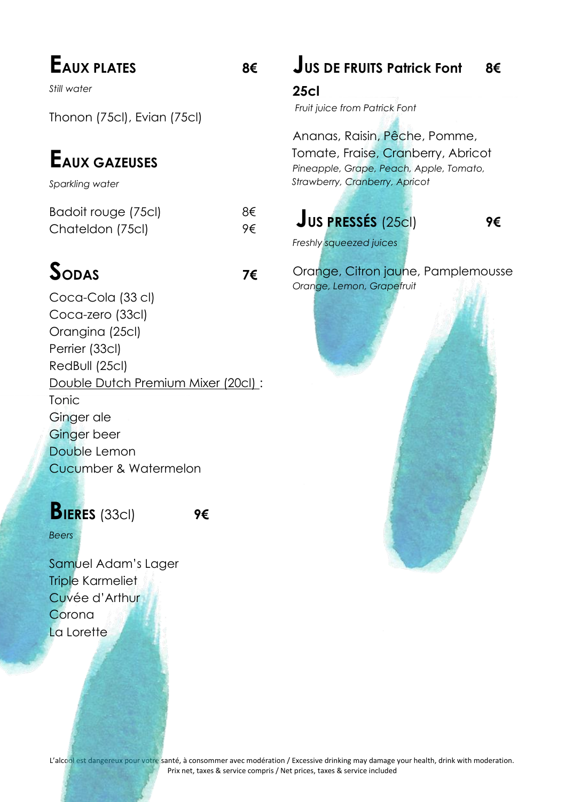# **EAUX PLATES 8€**

*Still water*

Thonon (75cl), Evian (75cl)

# **EAUX GAZEUSES**

*Sparkling water*

| Badoit rouge (75cl) | 8€ |
|---------------------|----|
| Chateldon (75cl)    | 9€ |

# **SODAS 7€**

Coca-Cola (33 cl) Coca-zero (33cl) Orangina (25cl) Perrier (33cl) RedBull (25cl) Double Dutch Premium Mixer (20cl) : Tonic Ginger ale Ginger beer Double Lemon Cucumber & Watermelon

## **BIERES** (33cl) **9€**

*Beers*

Samuel Adam's Lager Triple Karmeliet Cuvée d'Arthur Corona La Lorette

## **JUS DE FRUITS Patrick Font 8€**

**25cl**

*Fruit juice from Patrick Font*

Ananas, Raisin, Pêche, Pomme, Tomate, Fraise, Cranberry, Abricot *Pineapple, Grape, Peach, Apple, Tomato, Strawberry, Cranberry, Apricot*

## **JUS PRESSÉS** (25cl) **9€**

*Freshly squeezed juices*

Orange, Citron jaune, Pamplemousse *Orange, Lemon, Grapefruit*

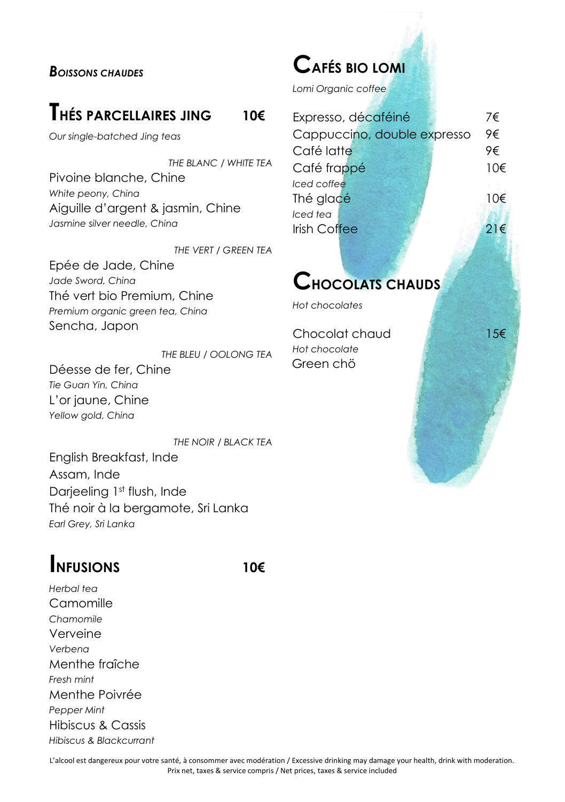#### *BOISSONS CHAUDES*

## **THÉS PARCELLAIRES JING <sup>10</sup>€**

*Our single-batched Jing teas*

*THE BLANC / WHITE TEA* Pivoine blanche, Chine *White peony, China* Aiguille d'argent & jasmin, Chine *Jasmine silver needle, China*

*THE VERT / GREEN TEA*

Epée de Jade, Chine *Jade Sword, China* Thé vert bio Premium, Chine *Premium organic green tea, China* Sencha, Japon

*THE BLEU / OOLONG TEA* Déesse de fer, Chine *Tie Guan Yin, China* L'or jaune, Chine *Yellow gold, China*

*THE NOIR / BLACK TEA* English Breakfast, Inde Assam, Inde Darjeeling 1st flush, Inde Thé noir à la bergamote, Sri Lanka *Earl Grey, Sri Lanka*

## **INFUSIONS 10€**

*Herbal tea* **Camomille** *Chamomile* Verveine *Verbena* Menthe fraîche *Fresh mint* Menthe Poivrée *Pepper Mint* Hibiscus & Cassis *Hibiscus & Blackcurrant*

## **CAFÉS BIO LOMI**

*Lomi Organic coffee*

|              | Expresso, décaféiné         | 7€       |
|--------------|-----------------------------|----------|
|              | Cappuccino, double expresso | 9€       |
| Café latte   |                             | 9€       |
| Café frappé  |                             | $10 \in$ |
| Iced coffee  |                             |          |
| Thé glacé    |                             | 10€      |
| Iced tea     |                             |          |
| Irish Coffee |                             | $21 \in$ |
|              |                             |          |

## **CHOCOLATS CHAUDS**

*Hot chocolates*

Chocolat chaud 15€ *Hot chocolate* Green chö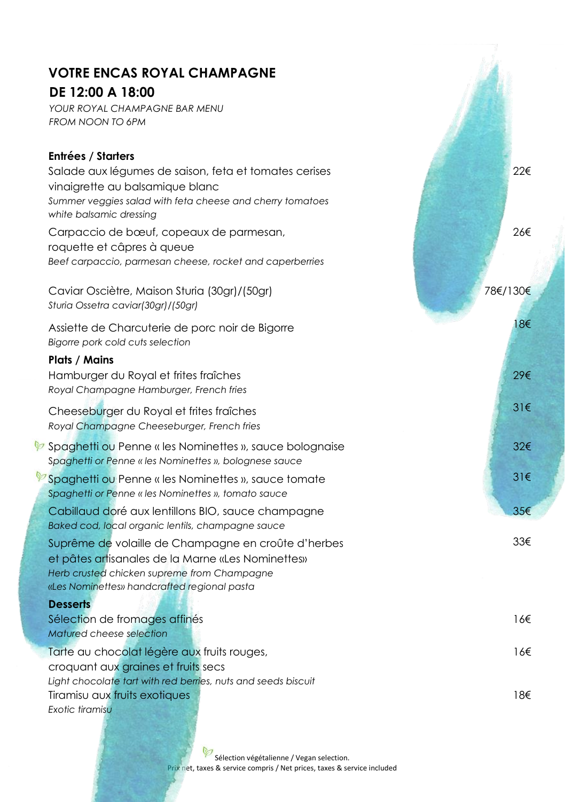## **VOTRE ENCAS ROYAL CHAMPAGNE**

### **DE 12:00 A 18:00**

*YOUR ROYAL CHAMPAGNE BAR MENU FROM NOON TO 6PM*

| <b>Entrées / Starters</b>                                                                                                                                                                              |          |
|--------------------------------------------------------------------------------------------------------------------------------------------------------------------------------------------------------|----------|
| Salade aux légumes de saison, feta et tomates cerises<br>vinaigrette au balsamique blanc                                                                                                               | 22€      |
| Summer veggies salad with feta cheese and cherry tomatoes<br>white balsamic dressing                                                                                                                   |          |
| Carpaccio de bœuf, copeaux de parmesan,<br>roquette et câpres à queue<br>Beef carpaccio, parmesan cheese, rocket and caperberries                                                                      | 26€      |
|                                                                                                                                                                                                        |          |
| Caviar Osciètre, Maison Sturia (30gr)/(50gr)<br>Sturia Ossetra caviar(30gr)/(50gr)                                                                                                                     | 78€/130€ |
| Assiette de Charcuterie de porc noir de Bigorre<br>Bigorre pork cold cuts selection                                                                                                                    | 18€      |
| <b>Plats / Mains</b>                                                                                                                                                                                   |          |
| Hamburger du Royal et frites fraîches<br>Royal Champagne Hamburger, French fries                                                                                                                       | 29€      |
| Cheeseburger du Royal et frites fraîches<br>Royal Champagne Cheeseburger, French fries                                                                                                                 | $31 \in$ |
| <del><b><i></i></b> Spaghetti ou Penne « les Nominettes », sauce bolognaise</del><br>Spaghetti or Penne « les Nominettes », bolognese sauce                                                            | 32€      |
| <sup>2</sup> Spaghetti ou Penne « les Nominettes », sauce tomate<br>Spaghetti or Penne « les Nominettes », tomato sauce                                                                                | 31€      |
| Cabillaud doré aux lentillons BIO, sauce champagne<br>Baked cod, local organic lentils, champagne sauce                                                                                                | 35€      |
| Suprême de volaille de Champagne en croûte d'herbes<br>et pâtes artisanales de la Marne «Les Nominettes»<br>Herb crusted chicken supreme from Champagne<br>«Les Nominettes» handcrafted regional pasta | 33€      |
| <b>Desserts</b>                                                                                                                                                                                        |          |
| Sélection de fromages affinés                                                                                                                                                                          | 16€      |
| Matured cheese selection                                                                                                                                                                               |          |
| Tarte au chocolat légère aux fruits rouges,<br>croquant aux graines et fruits secs                                                                                                                     | 16€      |
| Light chocolate tart with red berries, nuts and seeds biscuit                                                                                                                                          |          |
| Tiramisu aux fruits exotiques                                                                                                                                                                          | 18€      |

*Exotic tiramisu*